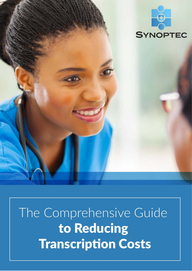

The Comprehensive Guide to Reducing **Transcription Costs**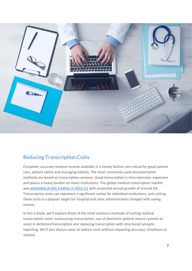

# Reducing Transcription Costs

Complete, accurate medical records available in a timely fashion are critical for good patient care, patient safety and managing liability. The most commonly used documentation methods are based on transcription services. Good transcription is time intensive, expensive and places a heavy burden on many institutions. The global medical transcription market was [estimated at \\$41.4 billion in 2012 \[1\]](http://www.transparencymarketresearch.com/medical-transcription-services.html) with projected annual growth of around 6%. Transcription costs can represent a significant outlay for individual institutions, and cutting these costs is a popular target for hospital and clinic administrators charged with saving money.

In this e-book, we'll explore three of the most common methods of cutting medical transcription costs: outsourcing transcription, use of electronic patient record systems to assist in dictation/transcription and replacing transcription with structured synoptic reporting. We'll also discuss ways to reduce costs without impacting accuracy, timeliness or volume.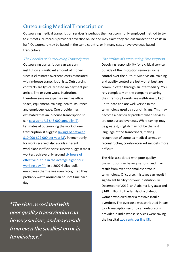## **Outsourcing Medical Transcription**

Outsourcing medical transcription services is perhaps the most commonly employed method to try to cut costs. Numerous providers advertise online and may claim they can cut transcription costs in half. Outsourcers may be based in the same country, or in many cases have overseas-based transcribers.

#### The Benefits of Outsourcing Transcription

Outsourcing transcription can save an institution a significant amount of money since it eliminates overhead costs associated with in-house transcriptionists. Outsourcing contracts are typically based on payment per article, line or even word. Institutions therefore save on expenses such as office space, equipment, training, health insurance and employee leave. One provider has estimated that an in-house transcriptionist can [cost up to US \\$46,000 annually \[2\].](http://www.medicaltranscriptionsservice.com/medical-transcription-outsourcing-benefits-newyork.html) Estimates of outsourcing the work of one transcriptionist suggest [savings of between](https://www.transcriptionoutsourcing.net/medical-transcription-services/medical-transcription-pricing/)  [\\$10,000-\\$22,000 per year \[3\].](https://www.transcriptionoutsourcing.net/medical-transcription-services/medical-transcription-pricing/) Payment only for work received also avoids inherent workplace inefficiencies; surveys suggest most workers achieve only around six hours of [effective output in the average eight hour](https://doi.org/10.1177/1350508413515541)  [working day \[4\].](https://doi.org/10.1177/1350508413515541) In a 2007 Gallup poll, employees themselves even recognized they probably waste around an hour of time each day.

"The risks associated with poor quality transcription can be very serious, and may result from even the smallest error in terminology."

#### The Pitfalls of Outsourcing Transcription

Devolving responsibility for a critical service outside of the institution removes some control over the output. Supervision, training and quality control are lost—or at best are communicated through an intermediary. You rely completely on the company ensuring their transcriptionists are well-trained, kept up-to-date and are well-versed in the terminology used by your clinicians. This may become a particular problem when services are outsourced overseas. While savings may be greatest, English may not be the first language of the transcribers, making recognition of complex medical terms, or reconstructing poorly-recorded snippets more difficult.

The risks associated with poor quality transcription can be very serious, and may result from even the smallest error in terminology. Of course, mistakes can result in significant liability for your institution. In December of 2012, an Alabama jury awarded \$140 million to the family of a diabetic woman who died after a massive insulin overdose. The overdose was attributed in part to a transcription error by an outsourcing provider in India whose services were saving the hospital [two cents per line \[5\].](http://blog.al.com/live/2012/12/fatal_outsourcing_thomas_hospi.html)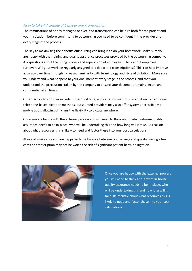#### How to take Advantage of Outsourcing Transcription

The ramifications of poorly managed or executed transcription can be dire both for the patient and your institution; before committing to outsourcing you need to be confident in the provider and every stage of the process.

The key to maximising the benefits outsourcing can bring is to do your homework. Make sure you are happy with the training and quality assurance processes provided by the outsourcing company. Ask questions about the hiring process and supervision of employees. Think about employee turnover. Will your work be regularly assigned to a dedicated transcriptionist? This can help improve accuracy over time through increased familiarity with terminology and style of dictation. Make sure you understand what happens to your document at every stage in the process, and that you understand the precautions taken by the company to ensure your document remains secure and confidential at all times.

Other factors to consider include turnaround time, and dictation methods; in addition to traditional telephone-based dictation methods, outsourced providers may also offer systems accessible via mobile apps, allowing clinicians the flexibility to dictate anywhere.

Once you are happy with the external process you will need to think about what in-house quality assurance needs to be in-place, who will be undertaking this and how long will it take. Be realistic about what resources this is likely to need and factor these into your cost calculations.

Above all make sure you are happy with the balance between cost savings and quality. Saving a few cents on transcription may not be worth the risk of significant patient harm or litigation.



Once you are happy with the external process you will need to think about what in-house quality assurance needs to be in-place, who will be undertaking this and how long will it take. Be realistic about what resources this is likely to need and factor these into your cost calculations.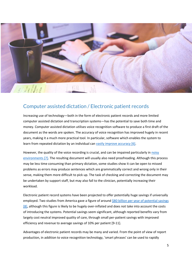

## Computer assisted dictation / Electronic patient records

Increasing use of technology—both in the form of electronic patient records and more limited computer assisted dictation and transcription systems—has the potential to save both time and money. Computer assisted dictation utilises voice recognition software to produce a first draft of the document as the words are spoken. The accuracy of voice recognition has improved hugely in recent years, making it a much more practical tool. In particular, software which enables the system to learn from repeated dictation by an individual can [vastly improve accuracy \[6\].](https://www.ncbi.nlm.nih.gov/pubmed/9844291)

However, the quality of the voice recording is crucial, and can be impaired particularly i[n noisy](https://doi.org/10.1259/bjr/20698753)  [environments \[7\].](https://doi.org/10.1259/bjr/20698753) The resulting document will usually also need proofreading. Although this process may be less time consuming than primary dictation, some studies show it can be open to missed problems as errors may produce sentences which are grammatically correct and wrong only in their sense, making them more difficult to pick up. The task of checking and correcting the document may be undertaken by support staff, but may also fall to the clinician, potentially increasing their workload.

Electronic patient record systems have been projected to offer potentially huge savings if universally employed. Two studies from America gave a figure of around \$80 billion per year of potential savings [\[8\],](http://www.cbo.gov/ftpdocs/91xx/doc9168/05-20-healthit.pdf) although this figure is likely to be hugely over-inflated and does not take into account the costs of introducing the systems. Potential savings seem significant, although reported benefits vary from largely cost neutral improved quality of care, through small per-patient savings with improved efficiency and revenue to average savings of 10% per patient [9-11].

Advantages of electronic patient records may be many and varied. From the point of view of report production, in addition to voice recognition technology, 'smart phrases' can be used to rapidly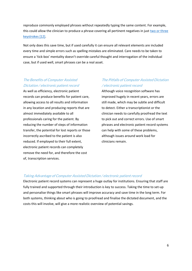reproduce commonly employed phrases without repeatedly typing the same content. For example, this could allow the clinician to produce a phrase covering all pertinent negatives in just two or three [keystrokes \[12\].](https://www.ncbi.nlm.nih.gov/pmc/articles/PMC3104829/)

Not only does this save time, but if used carefully it can ensure all relevant elements are included every time and simple errors such as spelling mistakes are eliminated. Care needs to be taken to ensure a 'tick-box' mentality doesn't override careful thought and interrogation of the individual case, but if used well, smart phrases can be a real asset.

### The Benefits of Computer Assisted Dictation / electronic patient record

As well as efficiency, electronic patient records can produce benefits for patient care, allowing access to all results and information in any location and producing reports that are almost immediately available to all professionals caring for the patient. By reducing the number of steps of information transfer, the potential for lost reports or those incorrectly ascribed to the patient is also reduced. If employed to their full extent, electronic patient records can completely remove the need for, and therefore the cost of, transcription services.

### The Pitfalls of Computer Assisted Dictation / electronic patient record

Although voice recognition software has improved hugely in recent years, errors are still made, which may be subtle and difficult to detect. Either a transcriptionist or the clinician needs to carefully proofread the text to pick out and correct errors. Use of smart phrases and electronic patient record systems can help with some of these problems, although issues around work load for clinicians remain.

#### Taking Advantage of Computer Assisted Dictation / electronic patient record

Electronic patient record systems can represent a huge outlay for institutions. Ensuring that staff are fully trained and supported through their introduction is key to success. Taking the time to set-up and personalise things like smart phrases will improve accuracy and save time in the long term. For both systems, thinking about who is going to proofread and finalise the dictated document, and the costs this will involve, will give a more realistic overview of potential savings.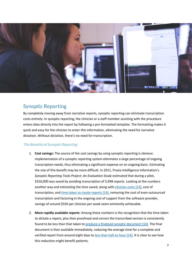

## Synoptic Reporting

By completely moving away from narrative reports, synoptic reporting can eliminate transcription costs entirely. In synoptic reporting, the clinician or a staff member assisting with the procedure enters data directly into the report by following a pre-formatted template. The formatting makes it quick and easy for the clinician to enter this information, eliminating the need for narrative dictation. Without dictation, there's no need for transcription.

### The Benefits of Synoptic Reporting

- 1. **Cost savings:** The source of the cost savings by using synoptic reporting is obvious: implementation of a synoptic reporting system eliminates a large percentage of ongoing transcription needs, thus eliminating a significant expense on an ongoing basis. Estimating the size of this benefit may be more difficult. In 2011, Praxia Intelligence Information's *Synoptic Reporting Tools Project: An Evaluation Study* estimated that during a pilot, \$316,000 was saved by avoiding transcription of 5,948 reports. Looking at the numbers another way and estimating the time saved, along wit[h clinician costs \[13\],](http://www.medscape.com/features/slideshow/compensation/2016/pathology#page=2) cost of transcription, and [time taken to create reports \[14\],](https://www.ncbi.nlm.nih.gov/pmc/articles/PMC1560865/) removing the cost of even outsourced transcription and factoring in the ongoing cost of support from the software provider, savings of around \$550 per clinician per week seem eminently achievable.
- 2. **More rapidly available reports**: Among these numbers is the recognition that the time taken to dictate a report, plus then proofread and correct the transcribed version is consistently found to be less than that taken to [produce a finalised synoptic document \[14\].](https://www.ncbi.nlm.nih.gov/pmc/articles/PMC1560865/) The final document is then available immediately, reducing the average time for a complete and verified report from around eight days to [less than half an hour \[14\].](https://www.ncbi.nlm.nih.gov/pmc/articles/PMC1560865/) It is clear to see how this reduction might benefit patients.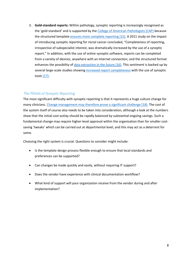3. **Gold-standard reports:** Within pathology, synoptic reporting is increasingly recognised as the 'gold standard' and is supported by the [College of American Pathologists \(CAP\)](http://www.cap.org/web/home?_afrLoop=485226328055265#!%40%40%3F_afrLoop%3D485226328055265%26_adf.ctrl-state%3Duix78za3z_4) because the structured template [ensures more complete reporting \[15\].](https://www.facs.org/quality-programs/cancer/coc/standards) A 2011 study on the impact of introducing synoptic reporting for rectal cancer concluded, "Completeness of reporting, irrespective of subspecialist interest, was dramatically increased by the use of a synoptic report." In addition, with the use of online synoptic software, reports can be completed from a variety of devices, anywhere with an Internet connection, and the structured format enhances the possibility of [data extraction in the future \[16\].](https://doi.org/10.5858/arpa.2010-0558-OA) This sentiment is backed up by several large-scale studies showin[g increased report completeness](https://doi.org/10.1016/j.humpath.2010.06.009) with the use of synoptic tool[s \[17\].](https://doi.org/10.1016/j.humpath.2010.06.009)

### The Pitfalls of Synoptic Reporting

The most significant difficulty with synoptic reporting is that it represents a huge culture change for many clinicians. [Change management may therefore prove a significant challenge \[18\].](https://dx.doi.org/10.1186/s13012-014-0121-0) The cost of the system itself of course also needs to be taken into consideration, although a look at the numbers show that the initial cost outlay should be rapidly balanced by substantial ongoing savings. Such a fundamental change may require higher-level approval within the organisation than for smaller costsaving 'tweaks' which can be carried out at departmental level, and this may act as a deterrent for some.

Choosing the right system is crucial. Questions to consider might include:

- Is the template design process flexible enough to ensure that local standards and preferences can be supported?
- Can changes be made quickly and easily, without requiring IT support?
- Does the vendor have experience with clinical documentation workflow?
- What kind of support will your organization receive from the vendor during and after implementation?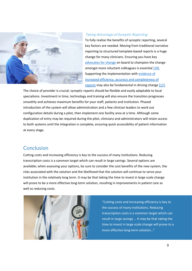

#### Taking Advantage of Synoptic Reporting

To fully realise the benefits of synoptic reporting, several key factors are needed. Moving from traditional narrative reporting to structured template-based reports is a huge change for many clinicians. Ensuring you have key [advocates for change](https://dx.doi.org/10.1186/s13012-014-0121-0) on board to champion the change amongst more reluctant colleagues is essential  $[18]$ . Supporting the implementation with [evidence of](https://doi.org/10.1016/j.humpath.2010.06.009)  [increased efficiency, accuracy and completeness of](https://doi.org/10.1016/j.humpath.2010.06.009)  [reports](https://doi.org/10.1016/j.humpath.2010.06.009) may also be fundamental in driving change [\[17\].](https://doi.org/10.1016/j.humpath.2010.06.009)

The choice of provider is crucial; synoptic reports should be flexible and easily adaptable to local specialisms. Investment in time, technology and training will also ensure the transition progresses smoothly and achieves maximum benefits for your staff, patients and institution. Phased introduction of the system will allow administration and a few clinician leaders to work out configuration details during a pilot, then implement one facility area at a time. Although some duplication of entry may be required during the pilot, clinicians and administrators will retain access to both systems until the integration is complete, ensuring quick accessibility of patient information at every stage.

## **Conclusion**

Cutting costs and increasing efficiency is key to the success of many institutions. Reducing transcription costs is a common target which can result in large savings. Several options are available; when assessing your options, be sure to consider the cost benefits of the new system, the risks associated with the solution and the likelihood that the solution will continue to serve your institution in the relatively long term. It may be that taking the time to invest in large scale change will prove to be a more effective long-term solution, resulting in improvements in patient care as well as reducing costs.



"Cutting costs and increasing efficiency is key to the success of many institutions. Reducing transcription costs is a common target which can result in large savings … It may be that taking the time to invest in large scale change will prove to a more effective long-term solution…"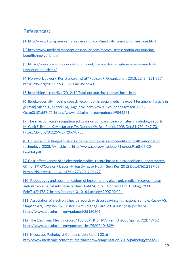## References:

[1] <http://www.transparencymarketresearch.com/medical-transcription-services.html>

[2[\] http://www.medicaltranscriptionsservice.com/medical-transcription-outsourcing](http://www.medicaltranscriptionsservice.com/medical-transcription-outsourcing-benefits-newyork.html)[benefits-newyork.html](http://www.medicaltranscriptionsservice.com/medical-transcription-outsourcing-benefits-newyork.html)

[3[\] https://www.transcriptionoutsourcing.net/medical-transcription-services/medical](https://www.transcriptionoutsourcing.net/medical-transcription-services/medical-transcription-pricing/)[transcription-pricing/](https://www.transcriptionoutsourcing.net/medical-transcription-services/medical-transcription-pricing/)

[4] Non-work at work: Resistance or what? Paulsen R. Organization, 2013: 22 (3); 351-367. <https://doi.org/10.1177/1350508413515541>

[5[\] http://blog.al.com/live/2012/12/fatal\\_outsourcing\\_thomas\\_hospi.html](http://blog.al.com/live/2012/12/fatal_outsourcing_thomas_hospi.html)

[6] [Edeka does all--machine speech recognition in social medicine expert testimony] [article in german] Michel E, Michel EM, Hägele W, Zernikow B. Gesundheitswesen. 1998 Oct;60(10):567-71. <https://www.ncbi.nlm.nih.gov/pubmed/9844291>

[7] The effect of voice recognition software on comparative error rates in radiology reports. McGurk S, Brauer K, Macfarlane TV, Duncan KA. Br J Radiol. 2008 Oct;81(970):767-70. <https://doi.org/10.1259/bjr/20698753>

[8] Congressional Budget Office. Evidence on the costs and benefits of health information technology. 2008. Available at: [http://www.cbo.gov/ftpdocs/91xx/doc9168/05-20](http://www.cbo.gov/ftpdocs/91xx/doc9168/05-20-healthit.pdf) [healthit.pdf](http://www.cbo.gov/ftpdocs/91xx/doc9168/05-20-healthit.pdf)

[9] Cost-effectiveness of an electronic medical record based clinical decision support system. Gilmer TP, O'Connor PJ, Sperl-Hillen JM, et al. Health Serv Res. 2012 Dec: 47(6): 2137-58. <https://doi.org/10.1111/j.1475-6773.2012.01427>

[10] Productivity and cost implications of implementing electronic medical records into an ambulatory surgical subspecialty clinic. Patil M, Puri L, Gonzalez CM. Urology. 2008 Feb;71(2):173-7. <https://doi.org/10.1016/j.urology.2007.09.024>

[11] Association of electronic health records with cost savings in a national sample. Kazley AS, Simpson AN, Simpson KN, Teufel R. Am J Manag Care. 2014 Jun 1;20(6):e183-90. <https://www.ncbi.nlm.nih.gov/pubmed/25180501>

[12] The Electronic Health Record "Toolbox". Krall MA. Perm J. 2005 Spring; 9(2): 49-52. <https://www.ncbi.nlm.nih.gov/pmc/articles/PMC3104829/>

[13] Medscape Pathologist Compensation Report 2016 <http://www.medscape.com/features/slideshow/compensation/2016/pathology#page=2>